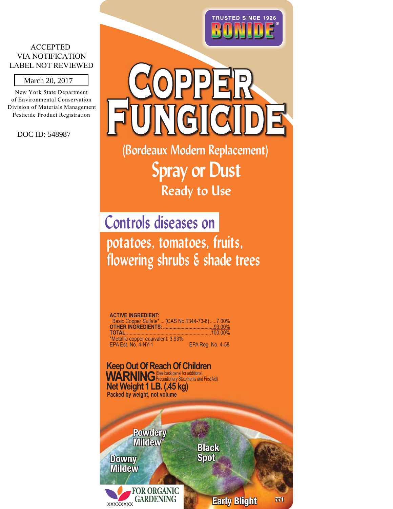#### ACCEPTED VIA NOTIFICATION LABEL NOT REVIEWED

March 20, 2017

New York State Department of Environmental Conservation Division of Materials Management Pesticide Product Registration

DOC ID: 548987



**Ready to Use Spray or Dust**

**Controls diseases on potatoes, tomatoes, fruits, flowering shrubs & shade trees**

**ACTIVE INGREDIENT:** Basic Copper Sulfate\* ... (CAS No.1344-73-6).....7.00% **OTHER INGREDIENTS: ......................................**93.00% **TOTAL:.....................** \*Metallic copper equivalent: 3.93% EPA Est. No. 4-NY-1 EPA Reg. No. 4-58

**Net Weight 1 LB. (.45 kg) Keep Out Of Reach Of Children** WARNING<sup>(See back panel for additional **NARNING** Precautionary Statements and First Aid)</sup> **Packed by weight, not volume**

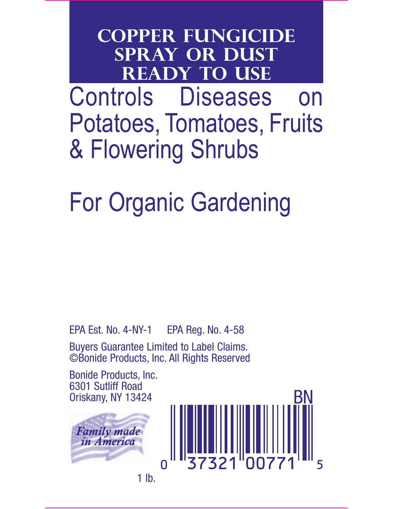**COPPER fungicide spray or DUST Ready to use**

Controls Diseases on Potatoes, Tomatoes, Fruits & Flowering Shrubs

For Organic Gardening

EPA Est. No. 4-NY-1 EPA Reg. No. 4-58

Buyers Guarantee Limited to Label Claims. ©Bonide Products, Inc. All Rights Reserved

Bonide Products, Inc. 6301 Sutliff Road Oriskany, NY 13424

**Family made** in America

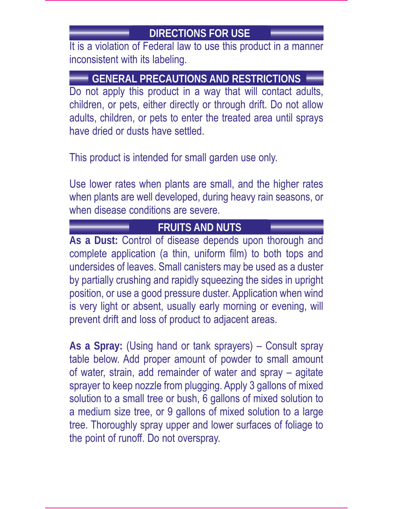# **DIRECTIONS FOR USE**

It is a violation of Federal law to use this product in a manner inconsistent with its labeling.

### **GENERAL PRECAUTIONS AND RESTRICTIONS**

Do not apply this product in a way that will contact adults, children, or pets, either directly or through drift. Do not allow adults, children, or pets to enter the treated area until sprays have dried or dusts have settled.

This product is intended for small garden use only.

Use lower rates when plants are small, and the higher rates when plants are well developed, during heavy rain seasons, or when disease conditions are severe.

#### **FRUITS AND NUTS**

**As a Dust:** Control of disease depends upon thorough and complete application (a thin, uniform film) to both tops and undersides of leaves. Small canisters may be used as a duster by partially crushing and rapidly squeezing the sides in upright position, or use a good pressure duster. Application when wind is very light or absent, usually early morning or evening, will prevent drift and loss of product to adjacent areas.

**As a Spray:** (Using hand or tank sprayers) – Consult spray table below. Add proper amount of powder to small amount of water, strain, add remainder of water and spray – agitate sprayer to keep nozzle from plugging. Apply 3 gallons of mixed solution to a small tree or bush, 6 gallons of mixed solution to a medium size tree, or 9 gallons of mixed solution to a large tree. Thoroughly spray upper and lower surfaces of foliage to the point of runoff. Do not overspray.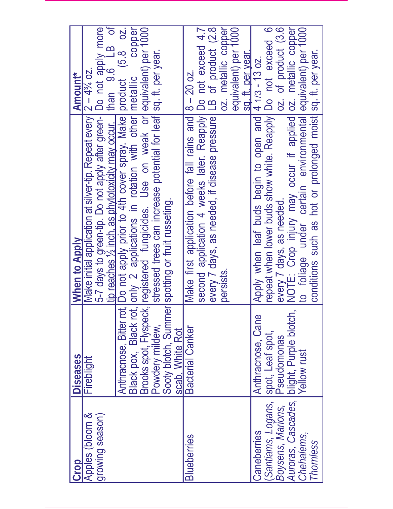| <b>Crop</b>        | <b>Diseases</b>                                                                    | When to Apply                                                                                                                                                                              | Amount*              |
|--------------------|------------------------------------------------------------------------------------|--------------------------------------------------------------------------------------------------------------------------------------------------------------------------------------------|----------------------|
| Apples (bloom &    | Fireblight                                                                         | Make initial application at silver-tip. Repeat every $2 - 4\%$ oz.                                                                                                                         |                      |
| growing season     |                                                                                    | $ 5-7$ days to green-tip. Do not apply after green- Do not apply more tip reaches $\frac{1}{2}$ inch, as phytotoxicity may occur. I than 9.6 LB of                                         |                      |
|                    |                                                                                    |                                                                                                                                                                                            |                      |
|                    | Anthracnose, Bitter rot,                                                           | To not apply prior to 4th cover spray. Make product (5.8 oz.                                                                                                                               |                      |
|                    |                                                                                    | only 2 applications in rotation with other metallic                                                                                                                                        | copper               |
|                    | Black pox, Black rot,                                                              | registered fungicides. Use on weak or equivalent) per 1000                                                                                                                                 |                      |
|                    |                                                                                    | stressed trees can increase potential for leaf sq. ft. per year.                                                                                                                           |                      |
|                    | Powdery mildew,<br>Sooty blotch, Summer<br>scab, White Rot                         | spotting or fruit russeting.                                                                                                                                                               |                      |
| <b>Blueberries</b> | Bacterial Canker                                                                   | Make first application before fall rains and 8 – 20 oz.<br>second application 4 weeks later. Reapply Do not exceed 4.7<br>every 7 days, as needed, if disease pressure LB of product (2.8) |                      |
|                    |                                                                                    |                                                                                                                                                                                            |                      |
|                    |                                                                                    |                                                                                                                                                                                            |                      |
|                    |                                                                                    | persists.                                                                                                                                                                                  | oz. metallic copper  |
|                    |                                                                                    |                                                                                                                                                                                            | equivalent) per 1000 |
|                    |                                                                                    |                                                                                                                                                                                            | sq. tt. per year.    |
| Caneberries        | Anthracnose, Cane                                                                  | Apply when leaf buds begin to open and 4 1/3 - 13 oz.                                                                                                                                      |                      |
| (Santiams, Logans, | spot, Leaf spot,<br>Pseudomonas                                                    | repeat when lower buds show white. Reapply   Do not exceed 6                                                                                                                               |                      |
| Boysens, Marions,  |                                                                                    |                                                                                                                                                                                            | oz. of product (3.6) |
|                    | Leyessiner<br>Auroras, Cascades, <mark>blight, Purple blotch,</mark><br>Chebalems. | every 7 days, as needed.<br>NOTE: Crop injury may occur if applied oz. metallic copper                                                                                                     |                      |
|                    |                                                                                    | to foliage under certain environmental equivalent) per 1000                                                                                                                                |                      |
| <b>Thornless</b>   |                                                                                    | conditions such as hot or prolonged moist sq. ft. per year.                                                                                                                                |                      |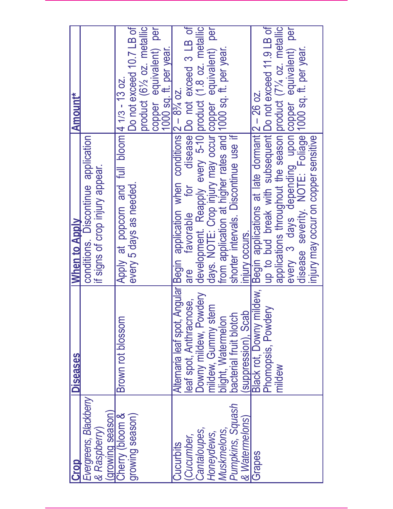| Crop                                   | Diseases               | <b>When to Apply</b>                                                                                                    | <b>Amount*</b>                                   |
|----------------------------------------|------------------------|-------------------------------------------------------------------------------------------------------------------------|--------------------------------------------------|
| Evergreens, Blackberry<br>& Raspberry) |                        | conditions. Discontinue application<br>if signs of crop injury appear.                                                  |                                                  |
| (growing season)                       |                        |                                                                                                                         |                                                  |
| Cherry (bloom &                        | Brown rot blossom      | Apply at popcorn and full bloom  4 1/3 - 13 oz.                                                                         |                                                  |
| growing season)                        |                        | every 5 days as needed.                                                                                                 | Do not exceed 10.7 LB of                         |
|                                        |                        |                                                                                                                         | product (61/ <sub>2</sub> oz. metallic           |
|                                        |                        |                                                                                                                         | copper equivalent) per<br>1000 sq. ft. per year. |
|                                        |                        |                                                                                                                         |                                                  |
| Cucurbits                              |                        | Alternaria leaf spot, Angular Begin application when conditions 2 - 834 oz.                                             |                                                  |
| Cucumber,                              | eaf spot, Anthracnose, | are favorable for                                                                                                       | disease Do not exceed 3 LB of                    |
| Cantaloupes                            |                        | Downy mildew, Powdery   development. Reapply every 5-10 product (1.8 oz. metallic                                       |                                                  |
| Honeydews,                             | mildew, Gummy stem     |                                                                                                                         |                                                  |
| Muskmelons,                            | blight, Watermelon     | days. NOTE: Crop injury may occur copper equivalent) per<br>from application at higher rates and 1000 sq. ft. per year. |                                                  |
| Pumpkins, Squash                       | pacterial fruit blotch | shorter intervals. Discontinue use if                                                                                   |                                                  |
| & Watermelons)                         | (suppression), Scab    | <b>INIUN OCCURS.</b>                                                                                                    |                                                  |
| <b>IGrapes</b>                         |                        | Black rot, Downy mildew, Begin applications at late dormant 2 - 26 oz.                                                  |                                                  |
|                                        | Phomopsis, Powdery     | up to bud break with subsequent Do not exceed 11.9 LB of                                                                |                                                  |
|                                        | mildew                 | applications throughout the season product (71/4 oz. metallic                                                           |                                                  |
|                                        |                        |                                                                                                                         |                                                  |
|                                        |                        | every 3 days depending upon copper equivalent) per<br>disease severity. NOTE: Foliage 1000 sq. ft. per year.            |                                                  |
|                                        |                        | Injury may occur on copper sensitive                                                                                    |                                                  |
|                                        |                        |                                                                                                                         |                                                  |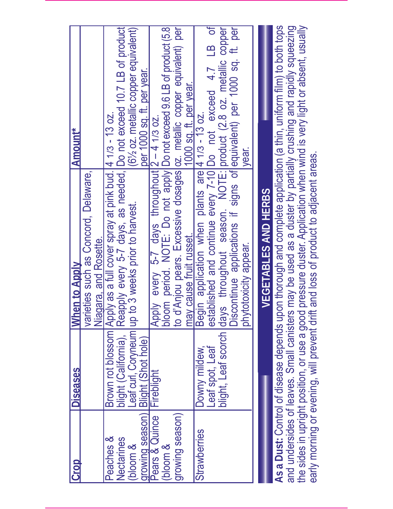| <b>Crop</b>         | <b>Diseases</b>                           | <b>Mhen to Apply</b>                                                                                             | Amount <sup>*</sup>                 |
|---------------------|-------------------------------------------|------------------------------------------------------------------------------------------------------------------|-------------------------------------|
|                     |                                           | varieties such as Concord, Delaware,<br>Niagara, and Rosette.                                                    |                                     |
| Peaches &           |                                           | Brown rot blossom Apply as a full cover spray at pink bud. 4 1/3 - 13 oz.                                        |                                     |
| Nectarines          | blight (California),                      | Reapply every 5-7 days, as needed, Do not exceed 10.7 LB of product                                              |                                     |
|                     |                                           | (bloom & ILeaf curl, Coryneum up to 3 weeks prior to harvest.                                                    | (6½ oz. metallic copper equivalent) |
|                     |                                           |                                                                                                                  | per 1000 sq. ft. per year.          |
| Pears & Quince      | Fireblight                                | Apply every 5-7 days throughout 2 - 4 1/3 oz.                                                                    |                                     |
| bloom &             |                                           | bloom period. NOTE: Do not apply Do not exceed 9.6 LB of product (5.8                                            |                                     |
| growing season)     |                                           | to d'Anjou pears. Excessive dosages oz. metallic copper equivalent) per                                          |                                     |
|                     |                                           | may cause fruit russet.                                                                                          | 1000 sq. ft. per year.              |
| <b>Strawberries</b> | Downy mildew,                             | Begin application when plants are 4 1/3 - 13 oz.                                                                 |                                     |
|                     | -eaf spot, Leaf                           | established and continue every 7-10 Do not exceed 4.7 LB of                                                      |                                     |
|                     |                                           | blight, Leaf scorch   days throughout season. NOTE:   product (2.8 oz. metallic copper                           |                                     |
|                     |                                           | Discontinue applications if signs of equivalent) per 1000 sq. ft. per                                            |                                     |
|                     |                                           | phytotoxicity appear.                                                                                            | Iyear.                              |
|                     |                                           |                                                                                                                  |                                     |
|                     |                                           | <b>VEGETABLES AND HERBS</b>                                                                                      |                                     |
|                     |                                           | As a Dust: Control of disease depends upon thorough and complete application (a thin, uniform film) to both tops |                                     |
|                     | and undersides of leaves. Small canisters | may be used as a duster by partially crushing and rapidly squeezing                                              |                                     |

the sides in upright position, or use a good pressure duster. Application when wind is very light or absent, usually the sides in upright position, or use a good pressure duster. Application when wind is very light or absent, usually<br>early morning or evening, will prevent drift and loss of product to adjacent areas. early morning or evening, will prevent drift and loss of product to adjacent areas.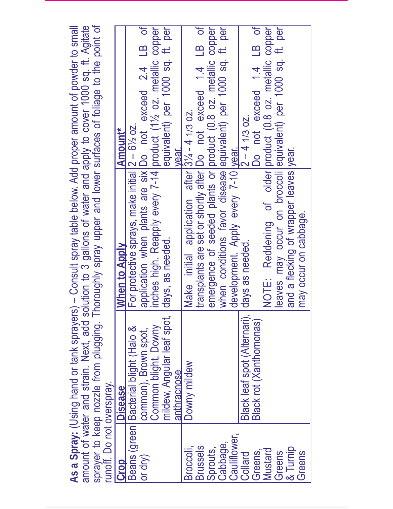**As a Spray:** (Using hand or tank sprayers) – Consult spray table below. Add proper amount of powder to small amount of water and strain. Next, add solution to 3 gallons of water and apply to cover 1000 sq. ft. Agitate<br>spraver to keep nozzle from plugging. Thoroughly spray upper and lower surfaces of foliage to the point of amount of water and strain. Next, add solution to 3 gallons of water and apply to cover 1000 sq. ft. Agitate sprayer to keep nozzle from plugging. Thoroughly spray upper and lower surfaces of foliage to the point of As a Spray: (Using hand or tank sprayers) - Consult spray table below. Add proper amount of powder to small

| runoff. Do not overspray. |                                       | shidre in the build were a structured in the control of the structure function of the structure of the structure of the point of the point of the point of the point of the point of the point of the point of the point of th |                                  |
|---------------------------|---------------------------------------|--------------------------------------------------------------------------------------------------------------------------------------------------------------------------------------------------------------------------------|----------------------------------|
|                           |                                       |                                                                                                                                                                                                                                |                                  |
| <b>Crop</b>               | <b>Disease</b>                        | <b>When to Apply</b>                                                                                                                                                                                                           | <b>Amount*</b>                   |
|                           | Beans (green Bacterial blight (Halo & | For protective sprays, make initial 2 - 61/2 oz.                                                                                                                                                                               |                                  |
| or dry)                   | common), Brown spot,                  |                                                                                                                                                                                                                                |                                  |
|                           | Common blight, Downy                  | application when plants are six Do not exceed 2.4 LB of<br>inches high. Reapply every 7-14 product (1/ <sub>2</sub> oz. metallic copper                                                                                        |                                  |
|                           | mildew, Angular leaf spot,            | days, as needed.                                                                                                                                                                                                               | equivalent) per 1000 sq. ft. per |
|                           | anthracnose                           |                                                                                                                                                                                                                                | vear.                            |
| Broccoll,                 | Downy mildew                          | Make initial application after 3% - 4 1/3 oz.                                                                                                                                                                                  |                                  |
| <b>Brussels</b>           |                                       |                                                                                                                                                                                                                                |                                  |
| Sprouts,                  |                                       | transplants are set or shortly after Do not exceed 1.4 LB of                                                                                                                                                                   |                                  |
| Cabbage,                  |                                       | when conditions favor disease equivalent) per 1000 sq. ft. per                                                                                                                                                                 |                                  |
| Cauliflower,              |                                       | development. Apply every 7-10 year.                                                                                                                                                                                            |                                  |
| Collard                   | Black leaf spot (Alternari),          | days as needed.                                                                                                                                                                                                                | $2 - 4$ 1/3 oz.                  |
| Greens                    | Black rot (Xanthomonas)               |                                                                                                                                                                                                                                | Do not exceed 1.4 LB of          |
| Mustard                   |                                       | NOTE: Reddening of older product (0.8 oz. metallic copper<br>leaves may occur on broccoli equivalent) per 1000 sq. ft. per                                                                                                     |                                  |
| Greens                    |                                       |                                                                                                                                                                                                                                |                                  |
| & Turnip                  |                                       | and a flecking of wrapper leaves year.                                                                                                                                                                                         |                                  |
| Greens                    |                                       | may occur on cabbage.                                                                                                                                                                                                          |                                  |
|                           |                                       |                                                                                                                                                                                                                                |                                  |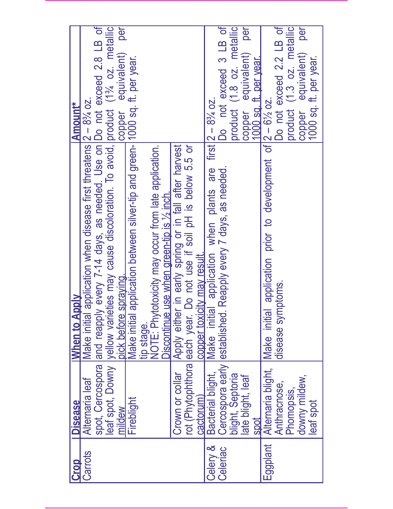| spot, Cercospora and reapply every 7-14 days, as needed. Use on Do not exceed 2.8 LB of<br>leaf spot, Downy yellow varieties may cause discoloration. To avoid, product (1 <sup>3</sup> /4 oz. metallic<br>pick before spraying.<br>Make initial application between silver-tip and green- 1000 sq. ft. per year.<br>Make initial application when disease first threatens  2 - 8% oz.<br>in early spring or in fall after harvest<br>Do not use if soil pH is below 5.5 or<br>tip stage.<br>INOTE: Phytotoxicity may occur from late application.<br>Discontinue use when green-tip is $\frac{1}{2}$ inch. | per<br>equivalent)                                   |
|-------------------------------------------------------------------------------------------------------------------------------------------------------------------------------------------------------------------------------------------------------------------------------------------------------------------------------------------------------------------------------------------------------------------------------------------------------------------------------------------------------------------------------------------------------------------------------------------------------------|------------------------------------------------------|
|                                                                                                                                                                                                                                                                                                                                                                                                                                                                                                                                                                                                             |                                                      |
|                                                                                                                                                                                                                                                                                                                                                                                                                                                                                                                                                                                                             |                                                      |
|                                                                                                                                                                                                                                                                                                                                                                                                                                                                                                                                                                                                             |                                                      |
|                                                                                                                                                                                                                                                                                                                                                                                                                                                                                                                                                                                                             |                                                      |
|                                                                                                                                                                                                                                                                                                                                                                                                                                                                                                                                                                                                             |                                                      |
|                                                                                                                                                                                                                                                                                                                                                                                                                                                                                                                                                                                                             |                                                      |
|                                                                                                                                                                                                                                                                                                                                                                                                                                                                                                                                                                                                             |                                                      |
|                                                                                                                                                                                                                                                                                                                                                                                                                                                                                                                                                                                                             |                                                      |
|                                                                                                                                                                                                                                                                                                                                                                                                                                                                                                                                                                                                             |                                                      |
|                                                                                                                                                                                                                                                                                                                                                                                                                                                                                                                                                                                                             |                                                      |
| application when plants are first 2 - 834 oz.                                                                                                                                                                                                                                                                                                                                                                                                                                                                                                                                                               |                                                      |
|                                                                                                                                                                                                                                                                                                                                                                                                                                                                                                                                                                                                             | Do not exceed 3 LB of                                |
| Cercospora early  established. Reapply every 7 days, as needed.<br>blight, Septoria                                                                                                                                                                                                                                                                                                                                                                                                                                                                                                                         | product (1.8 oz. metallic                            |
|                                                                                                                                                                                                                                                                                                                                                                                                                                                                                                                                                                                                             | per<br>copper equivalent)                            |
| 1000 sq. ft. per year.                                                                                                                                                                                                                                                                                                                                                                                                                                                                                                                                                                                      |                                                      |
| application prior to development of $ 2 - 6\frac{1}{2}$ oz.                                                                                                                                                                                                                                                                                                                                                                                                                                                                                                                                                 |                                                      |
|                                                                                                                                                                                                                                                                                                                                                                                                                                                                                                                                                                                                             | Do not exceed 2.2 LB of<br>product (1.3 oz. metallic |
|                                                                                                                                                                                                                                                                                                                                                                                                                                                                                                                                                                                                             |                                                      |
|                                                                                                                                                                                                                                                                                                                                                                                                                                                                                                                                                                                                             | per                                                  |
|                                                                                                                                                                                                                                                                                                                                                                                                                                                                                                                                                                                                             | copper equivalent)<br>1000 sq. ft. per year.         |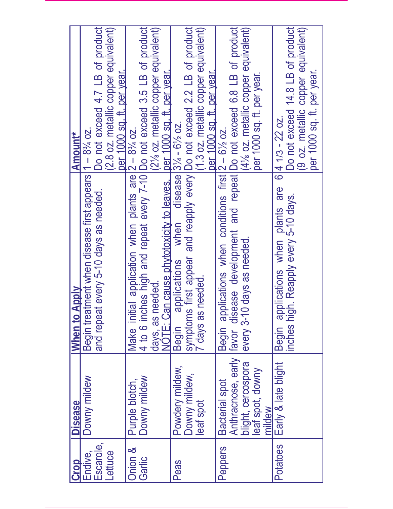| Crop      | <b>Disease</b>             | <b>When to Apply</b>                                                                                                                                            | Amount*                                                        |
|-----------|----------------------------|-----------------------------------------------------------------------------------------------------------------------------------------------------------------|----------------------------------------------------------------|
| Endive,   | Downy mildew               | Begin treatment when disease first appears  1 - 834 oz.                                                                                                         |                                                                |
| Escarole, |                            | and repeat every 5-10 days as needed.                                                                                                                           | Do not exceed 4.7 LB of product                                |
| -ettuce   |                            |                                                                                                                                                                 | (2.8 oz. metallic copper equivalent)                           |
|           |                            |                                                                                                                                                                 | per 1000 sq. ft. per year.                                     |
| Onion &   | Purple blotch,             | Make initial application when plants are 2 - 8% oz.                                                                                                             |                                                                |
| Garlic    | Downy mildew               | 4 to 6 inches high and repeat every 7-10 Do not exceed 3.5 LB of product                                                                                        |                                                                |
|           |                            |                                                                                                                                                                 | (2% oz. metallic copper equivalent)                            |
|           |                            |                                                                                                                                                                 |                                                                |
| Peas      | Powdery mildew,            | when $discese$ 3 $\frac{1}{4}$ - 6 $\frac{1}{2}$ oz.<br>applications<br>Begin                                                                                   |                                                                |
|           | Downy mildew,              | symptoms first appear and reapply every Do not exceed 2.2 LB of product                                                                                         |                                                                |
|           | leaf spot                  | needed<br>7 days as I                                                                                                                                           | (1.3 oz. metallic copper equivalent)                           |
|           |                            |                                                                                                                                                                 | ber 1000 sq. ft. per year.                                     |
| Peppers   |                            | Bacterial spot   Begin applications when conditions first 2 - 6½ oz.<br>Anthracnose, early favor disease development and repeat Do not exceed 6.8 LB of product |                                                                |
|           |                            |                                                                                                                                                                 |                                                                |
|           | blight, cercospora         | every 3-10 days as needed                                                                                                                                       | (4% oz. metallic copper equivalent)                            |
|           | leaf spot, downy<br>mildew |                                                                                                                                                                 | per 1000 sq. ft. per year.                                     |
| Potatoes  | Early & late blight        | Begin applications when plants are<br>inches high. Reapply every 5-10 days.<br>Begin                                                                            | $6 41/3 - 22$ oz                                               |
|           |                            |                                                                                                                                                                 | Do not exceed 14.8 LB of product<br>per 1000 sq. ft. per year. |
|           |                            |                                                                                                                                                                 |                                                                |
|           |                            |                                                                                                                                                                 |                                                                |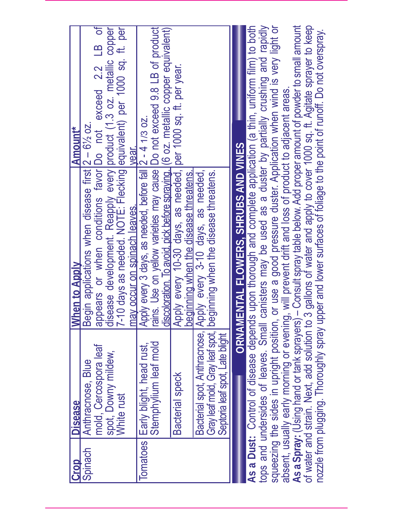| <b>Crop</b> | Disease                                                                         | <b>IAmount*</b><br>When to Apply                                                                                                                                                                                                                                                                                                    |  |
|-------------|---------------------------------------------------------------------------------|-------------------------------------------------------------------------------------------------------------------------------------------------------------------------------------------------------------------------------------------------------------------------------------------------------------------------------------|--|
| Spinach     | mold, Cercospora leaf<br>spot, Downy mildew,<br>Anthracnose, Blue<br>White rust | appears or when conditions favor Do not exceed 2.2 LB of<br>disease development. Reapply every product (1.3 oz. metallic copper<br>7-10 days as needed. NOTE: Flecking equivalent) per 1000 sq. ft. per<br>Begin applications when disease first 2 - 61/2 oz.<br>Vear.<br>may occur on spinach leaves.                              |  |
|             | Stemphylium leaf mold<br>Tomatoes   Early blight, head rust,<br>Bacterial speck | Apply every 3 days, as needed, before fall 2 - 4 1/3 oz.<br>rains. Use on yellow varieties may cause Do not exceed 9.8 LB of product<br>discoloration. To avoid, pick before spraying. (6 oz. metallic copper equivalent)<br>Apply every 10-30 days, as needed, per 1000 sq. ft. per year.<br>beginning when the disease threatens. |  |
|             | Septoria leat spot, Late blight                                                 | Bacterial spot, Anthracnose, Apply every 3-10 days, as needed,<br>Gray leaf mold, Gray leaf spot,   beginning when the disease threatens.                                                                                                                                                                                           |  |
|             |                                                                                 | ORNAMENTAL FLOWERS, SHRUBS AND VINES                                                                                                                                                                                                                                                                                                |  |
|             | As a Dust: Control of disease depends                                           | upon thorough and complete application (a thin, uniform film) to both                                                                                                                                                                                                                                                               |  |
|             | absent, usually early morning or evening,                                       | tops and undersides of leaves. Small canisters may be used as a duster by partially crushing and rapidly<br>squeezing the sides in upright position, or use a good pressure duster. Application when wind is very light or<br>will prevent drift and loss of product to adjacent areas.                                             |  |
|             | As a Spray: (Using hand or tank sprayers) -                                     | Consult spray table below. Add proper amount of powder to small amount<br>of water and strain. Next, add solution to 3 gallons of water and apply to cover 1000 sq. ft. Agitate sprayer to keep<br>nozzle from plugging. Thoroughly spray upper and lower surfaces of foliage to the point of runoff. Do not overspray.             |  |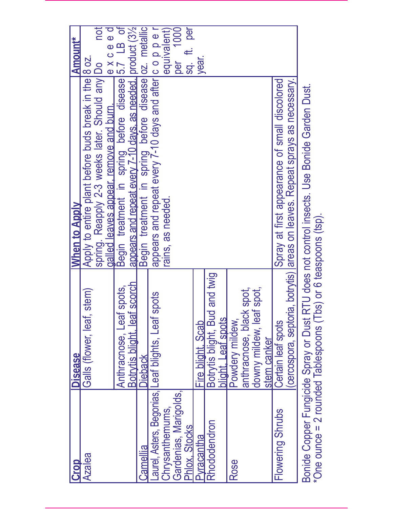| <b>ICrop</b>                                              | Disease                                                             | <b>When to Apply</b>                                                                                                                                       | Amount*                                   |
|-----------------------------------------------------------|---------------------------------------------------------------------|------------------------------------------------------------------------------------------------------------------------------------------------------------|-------------------------------------------|
| <b>Azalea</b>                                             | Galls (flower, leaf, stem)                                          | Apply to entire plant before buds break in the 8 oz.<br>spring. Reapply 2-3 weeks later. Should any Do<br>galled leaves appear, remove and burn.           | not                                       |
|                                                           | Botrytis blight. leaf scorch<br>Anthracnose, Leaf spots             | appears and repeat every 7-10 days, as needed. product (3½<br>galleu leaves appear, remove and burn.<br>Begin treatment in spring before disease 5.7 LB of | $\overline{\sigma}$                       |
| <b>Gilleme</b> :                                          | <b>Dieback</b>                                                      | Begin treatment in spring before disease oz. metallic                                                                                                      |                                           |
|                                                           | Laurel, Asters, Begonias, Leaf blights, Leaf spots                  | appears and repeat every 7-10 days and after c o p p e i                                                                                                   |                                           |
| Gardenias, Marigolds,<br>Chrysanthemums,<br>Phlox, Stocks |                                                                     | irains, as needed.                                                                                                                                         | sq. ft. per<br>1000<br>equivalent)<br>per |
| <b>Pyracantha</b>                                         | Fire blight, Scab                                                   |                                                                                                                                                            | year.                                     |
| Rhododendron                                              | Botrytis blight, Bud and twig<br>blight. Leat spots                 |                                                                                                                                                            |                                           |
| Rose                                                      | Powdery mildew                                                      |                                                                                                                                                            |                                           |
|                                                           | anthracnose, black spot,<br>downy mildew, leaf spot,<br>stem canker |                                                                                                                                                            |                                           |
| <b>Flowering Shrubs</b>                                   | (cercospora, septoria,<br>Certain leat spots                        | Spray at first appearance of small discolored<br>botrytis) lareas on leaves. Repeat sprays as necessary.                                                   |                                           |
|                                                           | *One ounce = $2$ rounded Tablespoons (Tbs) or 6 teaspoons (tsp).    | Bonide Copper Fungicide Spray or Dust RTU does not control insects. Use Bonide Garden Dust.                                                                |                                           |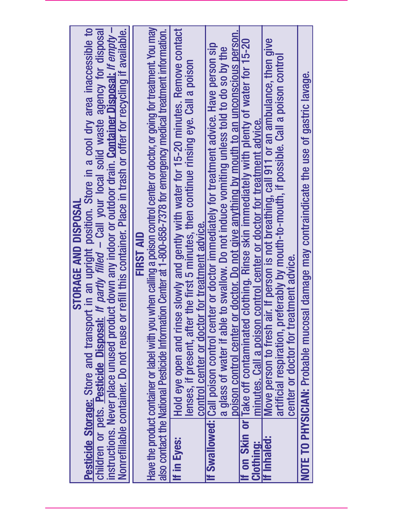| Have the product container or label with you when calling a poison control center or doctor, or going for treatment. You may<br>instructions. Never place unused product down any indoor or outdoor drain. Container Disposal: If empty -<br>in an upright position. Store in a cool dry area inaccessible to<br>slowly and gently with water for 15-20 minutes. Remove contact<br>If partly filled - Call your local solid waste agency for disposal<br>n Center at 1-800-858-7378 for emergency medical treatment information.<br>refill this container. Place in trash or offer for recycling if available.<br>poison control center or doctor. Do not give anything by mouth to an unconscious person.<br>Move person to fresh air. If person is not breathing, call 911 or an ambulance, then give<br>If on Skin or Take off contaminated clothing. Rinse skin immediately with plenty of water for 15-20<br>If Swallowed: Call poison control center or doctor immediately for treatment advice. Have person sip<br>a glass of water if able to swallow. Do not induce vomiting unless told to do so by the<br>artificial respiration, preferably by mouth-to-mouth, if possible. Call a poison control<br>lenses, if present, after the first 5 minutes, then continue rinsing eye. Call a poison<br>minutes. Call a poison control center or doctor for treatment advice.<br>STORAGE AND DISPOSAL<br>control center or doctor for treatment advice.<br>FIRST AID<br>center or doctor for treatment advice.<br><b>Pesticide Storage: Store and transport</b><br>also contact the National Pesticide Informatio<br>Hold eye open and rinse<br>Nonrefillable container. Do not reuse or<br>children or pets. Pesticide Disposal:<br>If Inhaled:<br>If in Eyes:<br><b>Clothing:</b> |
|-----------------------------------------------------------------------------------------------------------------------------------------------------------------------------------------------------------------------------------------------------------------------------------------------------------------------------------------------------------------------------------------------------------------------------------------------------------------------------------------------------------------------------------------------------------------------------------------------------------------------------------------------------------------------------------------------------------------------------------------------------------------------------------------------------------------------------------------------------------------------------------------------------------------------------------------------------------------------------------------------------------------------------------------------------------------------------------------------------------------------------------------------------------------------------------------------------------------------------------------------------------------------------------------------------------------------------------------------------------------------------------------------------------------------------------------------------------------------------------------------------------------------------------------------------------------------------------------------------------------------------------------------------------------------------------------------------------------------------------------------------------------------------------------|
| NOTE TO PHYSICIAN: Probable mucosal damage may contraindicate the use of gastric lavage.                                                                                                                                                                                                                                                                                                                                                                                                                                                                                                                                                                                                                                                                                                                                                                                                                                                                                                                                                                                                                                                                                                                                                                                                                                                                                                                                                                                                                                                                                                                                                                                                                                                                                                |
|                                                                                                                                                                                                                                                                                                                                                                                                                                                                                                                                                                                                                                                                                                                                                                                                                                                                                                                                                                                                                                                                                                                                                                                                                                                                                                                                                                                                                                                                                                                                                                                                                                                                                                                                                                                         |